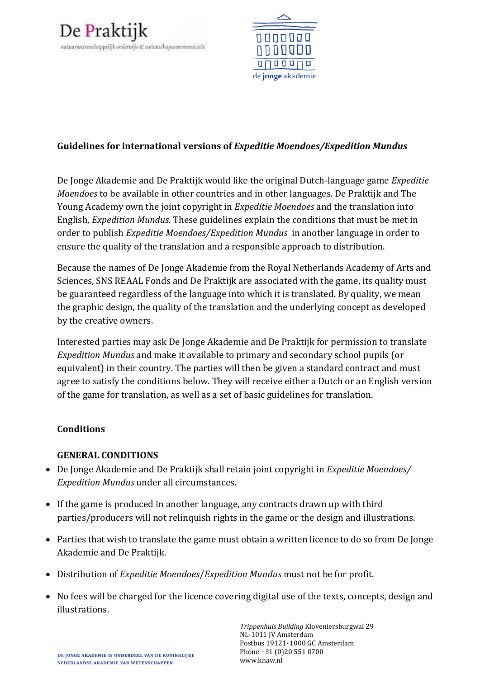



### **Guidelines for international versions of** *Expeditie Moendoes/Expedition Mundus*

De Jonge Akademie and De Praktijk would like the original Dutch-language game *Expeditie Moendoes* to be available in other countries and in other languages. De Praktijk and The Young Academy own the joint copyright in *Expeditie Moendoes* and the translation into English, *Expedition Mundus*. These guidelines explain the conditions that must be met in order to publish *Expeditie Moendoes/Expedition Mundus* in another language in order to ensure the quality of the translation and a responsible approach to distribution.

Because the names of De Jonge Akademie from the Royal Netherlands Academy of Arts and Sciences, SNS REAAL Fonds and De Praktijk are associated with the game, its quality must be guaranteed regardless of the language into which it is translated. By quality, we mean the graphic design, the quality of the translation and the underlying concept as developed by the creative owners.

Interested parties may ask De Jonge Akademie and De Praktijk for permission to translate *Expedition Mundus* and make it available to primary and secondary school pupils (or equivalent) in their country. The parties will then be given a standard contract and must agree to satisfy the conditions below. They will receive either a Dutch or an English version of the game for translation, as well as a set of basic guidelines for translation.

#### **Conditions**

# **GENERAL CONDITIONS**

- De Jonge Akademie and De Praktijk shall retain joint copyright in *Expeditie Moendoes/ Expedition Mundus* under all circumstances.
- If the game is produced in another language, any contracts drawn up with third parties/producers will not relinquish rights in the game or the design and illustrations.
- Parties that wish to translate the game must obtain a written licence to do so from De Jonge Akademie and De Praktijk.
- Distribution of *Expeditie Moendoes*/*Expedition Mundus* must not be for profit.
- No fees will be charged for the licence covering digital use of the texts, concepts, design and illustrations.

*Trippenhuis Building* Kloveniersburgwal 29 NL-1011 JV Amsterdam Postbus 19121•1000 GC Amsterdam Phone +31 (0)20 551 0700 www.knaw.nl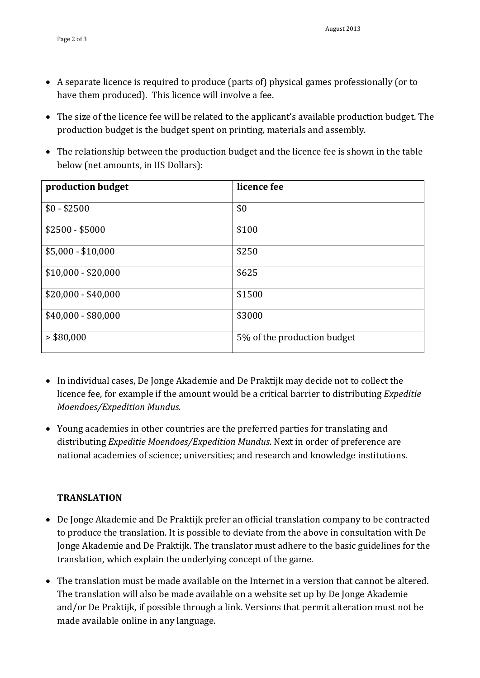- A separate licence is required to produce (parts of) physical games professionally (or to have them produced). This licence will involve a fee.
- The size of the licence fee will be related to the applicant's available production budget. The production budget is the budget spent on printing, materials and assembly.
- The relationship between the production budget and the licence fee is shown in the table below (net amounts, in US Dollars):

| production budget   | licence fee                 |
|---------------------|-----------------------------|
| $$0 - $2500$        | \$0                         |
| $$2500 - $5000$     | \$100                       |
| $$5,000 - $10,000$  | \$250                       |
| $$10,000 - $20,000$ | \$625                       |
| $$20,000 - $40,000$ | \$1500                      |
| $$40,000 - $80,000$ | \$3000                      |
| > \$80,000          | 5% of the production budget |

- In individual cases, De Jonge Akademie and De Praktijk may decide not to collect the licence fee, for example if the amount would be a critical barrier to distributing *Expeditie Moendoes/Expedition Mundus.*
- Young academies in other countries are the preferred parties for translating and distributing *Expeditie Moendoes/Expedition Mundus*. Next in order of preference are national academies of science; universities; and research and knowledge institutions.

# **TRANSLATION**

- De Jonge Akademie and De Praktijk prefer an official translation company to be contracted to produce the translation. It is possible to deviate from the above in consultation with De Jonge Akademie and De Praktijk. The translator must adhere to the basic guidelines for the translation, which explain the underlying concept of the game.
- The translation must be made available on the Internet in a version that cannot be altered. The translation will also be made available on a website set up by De Jonge Akademie and/or De Praktijk, if possible through a link. Versions that permit alteration must not be made available online in any language.